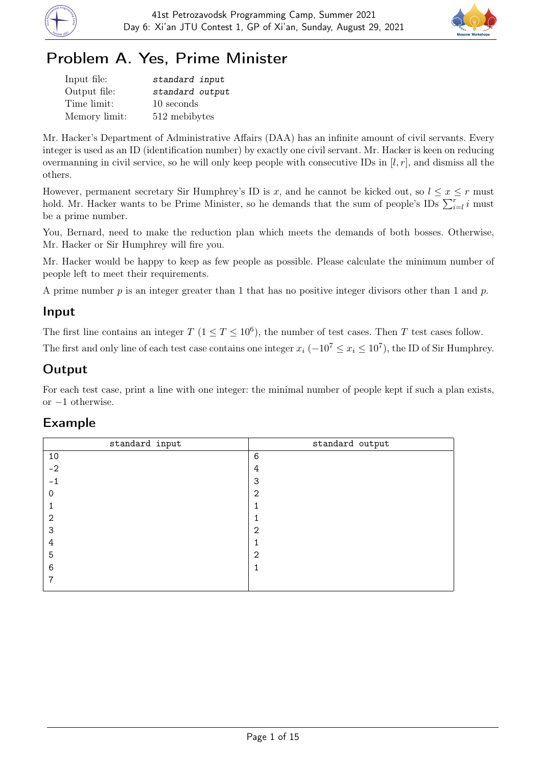



# Problem A. Yes, Prime Minister

| Input file:   | standard input  |
|---------------|-----------------|
| Output file:  | standard output |
| Time limit:   | 10 seconds      |
| Memory limit: | 512 mebibytes   |

Mr. Hacker's Department of Administrative Affairs (DAA) has an infinite amount of civil servants. Every integer is used as an ID (identification number) by exactly one civil servant. Mr. Hacker is keen on reducing overmanning in civil service, so he will only keep people with consecutive IDs in  $[l, r]$ , and dismiss all the others.

However, permanent secretary Sir Humphrey's ID is x, and he cannot be kicked out, so  $l \leq x \leq r$  must hold. Mr. Hacker wants to be Prime Minister, so he demands that the sum of people's IDs  $\sum_{i=l}^{r} i$  must be a prime number.

You, Bernard, need to make the reduction plan which meets the demands of both bosses. Otherwise, Mr. Hacker or Sir Humphrey will fire you.

Mr. Hacker would be happy to keep as few people as possible. Please calculate the minimum number of people left to meet their requirements.

A prime number  $p$  is an integer greater than 1 that has no positive integer divisors other than 1 and  $p$ .

### Input

The first line contains an integer  $T (1 \le T \le 10^6)$ , the number of test cases. Then T test cases follow.

The first and only line of each test case contains one integer  $x_i$  ( $-10^7 \le x_i \le 10^7$ ), the ID of Sir Humphrey.

### **Output**

For each test case, print a line with one integer: the minimal number of people kept if such a plan exists, or −1 otherwise.

| standard output |
|-----------------|
| 6               |
| 4               |
| 3               |
| 2               |
|                 |
|                 |
| 2               |
|                 |
| $\overline{2}$  |
|                 |
|                 |
|                 |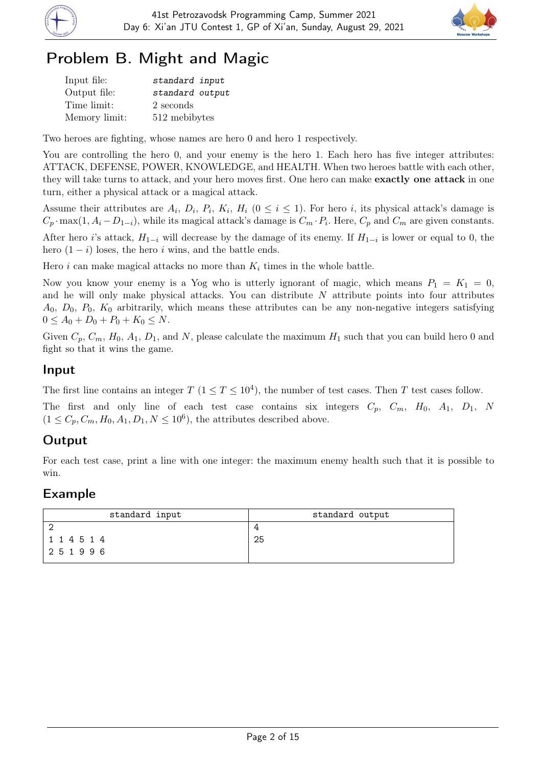



# Problem B. Might and Magic

| Input file:   | standard input  |
|---------------|-----------------|
| Output file:  | standard output |
| Time limit:   | 2 seconds       |
| Memory limit: | 512 mebibytes   |

Two heroes are fighting, whose names are hero 0 and hero 1 respectively.

You are controlling the hero 0, and your enemy is the hero 1. Each hero has five integer attributes: ATTACK, DEFENSE, POWER, KNOWLEDGE, and HEALTH. When two heroes battle with each other, they will take turns to attack, and your hero moves first. One hero can make exactly one attack in one turn, either a physical attack or a magical attack.

Assume their attributes are  $A_i$ ,  $D_i$ ,  $P_i$ ,  $K_i$ ,  $H_i$  ( $0 \leq i \leq 1$ ). For hero *i*, its physical attack's damage is  $C_p \cdot \max(1, A_i - D_{1-i}),$  while its magical attack's damage is  $C_m \cdot P_i$ . Here,  $C_p$  and  $C_m$  are given constants.

After hero i's attack,  $H_{1-i}$  will decrease by the damage of its enemy. If  $H_{1-i}$  is lower or equal to 0, the hero  $(1 - i)$  loses, the hero i wins, and the battle ends.

Hero i can make magical attacks no more than  $K_i$  times in the whole battle.

Now you know your enemy is a Yog who is utterly ignorant of magic, which means  $P_1 = K_1 = 0$ , and he will only make physical attacks. You can distribute  $N$  attribute points into four attributes  $A_0, D_0, P_0, K_0$  arbitrarily, which means these attributes can be any non-negative integers satisfying  $0 \leq A_0 + D_0 + P_0 + K_0 \leq N$ .

Given  $C_p$ ,  $C_m$ ,  $H_0$ ,  $A_1$ ,  $D_1$ , and N, please calculate the maximum  $H_1$  such that you can build hero 0 and fight so that it wins the game.

#### Input

The first line contains an integer  $T$   $(1 \le T \le 10^4)$ , the number of test cases. Then T test cases follow.

The first and only line of each test case contains six integers  $C_p$ ,  $C_m$ ,  $H_0$ ,  $A_1$ ,  $D_1$ , N  $(1 \leq C_p, C_m, H_0, A_1, D_1, N \leq 10^6)$ , the attributes described above.

### Output

For each test case, print a line with one integer: the maximum enemy health such that it is possible to win.

| standard input | standard output |
|----------------|-----------------|
|                |                 |
| 114514         | -25             |
| 251996         |                 |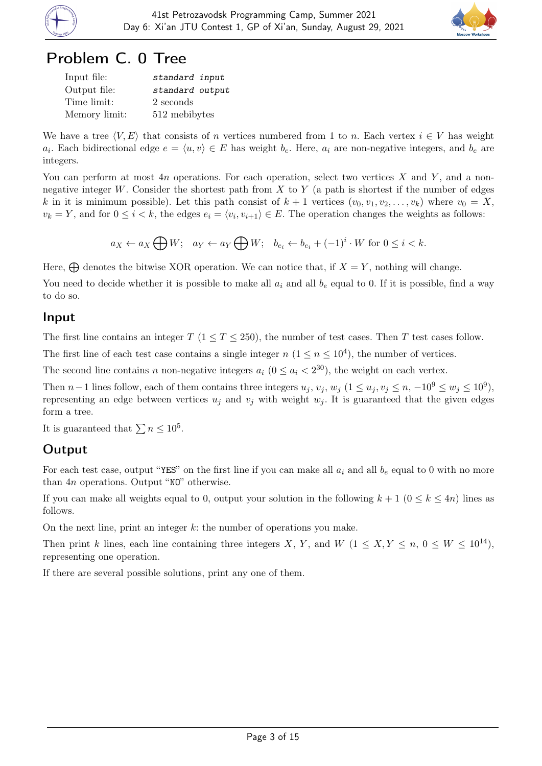



### Problem C. 0 Tree

| Input file:   | standard input  |
|---------------|-----------------|
| Output file:  | standard output |
| Time limit:   | 2 seconds       |
| Memory limit: | 512 mebibytes   |

We have a tree  $\langle V, E \rangle$  that consists of n vertices numbered from 1 to n. Each vertex  $i \in V$  has weight  $a_i$ . Each bidirectional edge  $e = \langle u, v \rangle \in E$  has weight  $b_e$ . Here,  $a_i$  are non-negative integers, and  $b_e$  are integers.

You can perform at most  $4n$  operations. For each operation, select two vertices X and Y, and a nonnegative integer W. Consider the shortest path from  $X$  to  $Y$  (a path is shortest if the number of edges k in it is minimum possible). Let this path consist of  $k + 1$  vertices  $(v_0, v_1, v_2, \ldots, v_k)$  where  $v_0 = X$ ,  $v_k = Y$ , and for  $0 \le i < k$ , the edges  $e_i = \langle v_i, v_{i+1} \rangle \in E$ . The operation changes the weights as follows:

$$
a_X \leftarrow a_X \bigoplus W; \quad a_Y \leftarrow a_Y \bigoplus W; \quad b_{e_i} \leftarrow b_{e_i} + (-1)^i \cdot W \text{ for } 0 \leq i < k.
$$

Here,  $\bigoplus$  denotes the bitwise XOR operation. We can notice that, if  $X = Y$ , nothing will change.

You need to decide whether it is possible to make all  $a_i$  and all  $b_e$  equal to 0. If it is possible, find a way to do so.

#### Input

The first line contains an integer  $T$  (1  $\leq T \leq 250$ ), the number of test cases. Then T test cases follow.

The first line of each test case contains a single integer  $n (1 \le n \le 10^4)$ , the number of vertices.

The second line contains n non-negative integers  $a_i$   $(0 \le a_i < 2^{30})$ , the weight on each vertex.

Then  $n-1$  lines follow, each of them contains three integers  $u_j$ ,  $v_j$ ,  $w_j$   $(1 \le u_j, v_j \le n, -10^9 \le w_j \le 10^9)$ , representing an edge between vertices  $u_j$  and  $v_j$  with weight  $w_j$ . It is guaranteed that the given edges form a tree.

It is guaranteed that  $\sum n \leq 10^5$ .

#### Output

For each test case, output "YES" on the first line if you can make all  $a_i$  and all  $b_e$  equal to 0 with no more than 4n operations. Output "NO" otherwise.

If you can make all weights equal to 0, output your solution in the following  $k + 1$   $(0 \leq k \leq 4n)$  lines as follows.

On the next line, print an integer  $k$ : the number of operations you make.

Then print k lines, each line containing three integers X, Y, and W  $(1 \le X, Y \le n, 0 \le W \le 10^{14})$ , representing one operation.

If there are several possible solutions, print any one of them.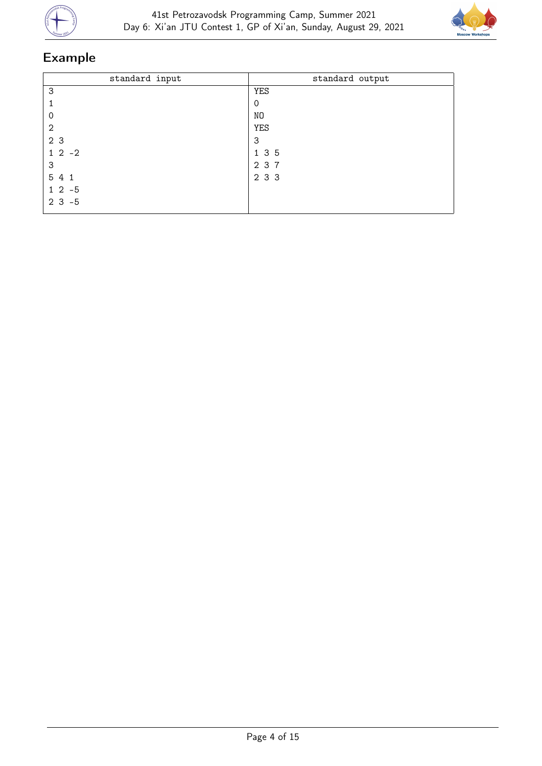



| standard input | standard output |
|----------------|-----------------|
| 3              | <b>YES</b>      |
|                | 0               |
| 0              | NO              |
| $\overline{2}$ | YES             |
| 2 3            | 3               |
| $1 \t2 \t-2$   | 1 3 5           |
| 3              | 2 3 7           |
| 5 4 1          | 2 3 3           |
| $12 - 5$       |                 |
| $2 \t3 \t-5$   |                 |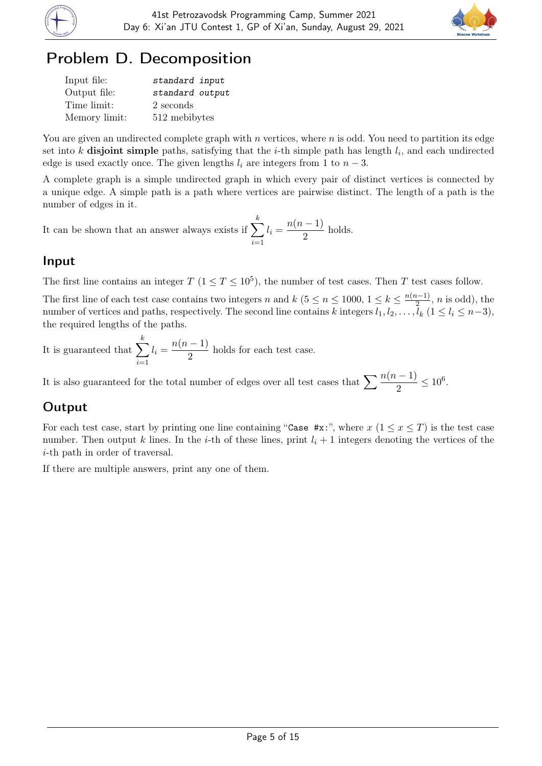



## Problem D. Decomposition

| Input file:   | standard input  |
|---------------|-----------------|
| Output file:  | standard output |
| Time limit:   | 2 seconds       |
| Memory limit: | 512 mebibytes   |

You are given an undirected complete graph with  $n$  vertices, where  $n$  is odd. You need to partition its edge set into k disjoint simple paths, satisfying that the *i*-th simple path has length  $l_i$ , and each undirected edge is used exactly once. The given lengths  $l_i$  are integers from 1 to  $n-3$ .

A complete graph is a simple undirected graph in which every pair of distinct vertices is connected by a unique edge. A simple path is a path where vertices are pairwise distinct. The length of a path is the number of edges in it.

It can be shown that an answer always exists if  $\sum$ k  $i=1$  $l_i = \frac{n(n-1)}{2}$  $\frac{1}{2}$  holds.

#### Input

The first line contains an integer  $T (1 \le T \le 10^5)$ , the number of test cases. Then T test cases follow.

The first line of each test case contains two integers n and k ( $5 \le n \le 1000$ ,  $1 \le k \le \frac{n(n-1)}{2}$ )  $\frac{i-1}{2}$ , *n* is odd), the number of vertices and paths, respectively. The second line contains k integers  $l_1, l_2, \ldots, l_k$   $(1 \leq l_i \leq n-3)$ , the required lengths of the paths.

It is guaranteed that  $\sum$ k  $i=1$  $l_i = \frac{n(n-1)}{2}$  $\frac{1}{2}$  holds for each test case.

It is also guaranteed for the total number of edges over all test cases that  $\sum \frac{n(n-1)}{2} \le 10^6$ .

### **Output**

For each test case, start by printing one line containing "Case #x:", where  $x$  ( $1 \le x \le T$ ) is the test case number. Then output k lines. In the *i*-th of these lines, print  $l_i + 1$  integers denoting the vertices of the i-th path in order of traversal.

If there are multiple answers, print any one of them.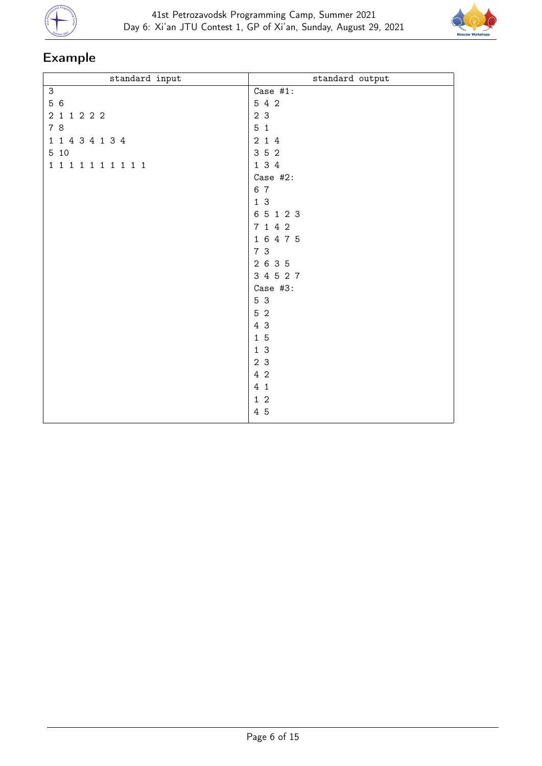



| standard input      | standard output |
|---------------------|-----------------|
| $\mathsf 3$         | Case $#1$ :     |
| 5 6                 | 5 4 2           |
| 2 1 1 2 2 2         | 2 3             |
| 7 8                 | 5 <sub>1</sub>  |
| 1 1 4 3 4 1 3 4     | 214             |
| 5 10                | 3 5 2           |
| 1 1 1 1 1 1 1 1 1 1 | 1 3 4           |
|                     | Case #2:        |
|                     | 6 7             |
|                     | 1 <sup>3</sup>  |
|                     | 6 5 1 2 3       |
|                     | 7 1 4 2         |
|                     | 1 6 4 7 5       |
|                     | 7 3             |
|                     | 2 6 3 5         |
|                     | 3 4 5 2 7       |
|                     | Case #3:        |
|                     | 5 3             |
|                     | 5 2             |
|                     | 4 3             |
|                     | $1\overline{5}$ |
|                     | 1 <sup>3</sup>  |
|                     | 2 3             |
|                     | 4 2             |
|                     | 41              |
|                     | $1\,2$          |
|                     | 4 5             |
|                     |                 |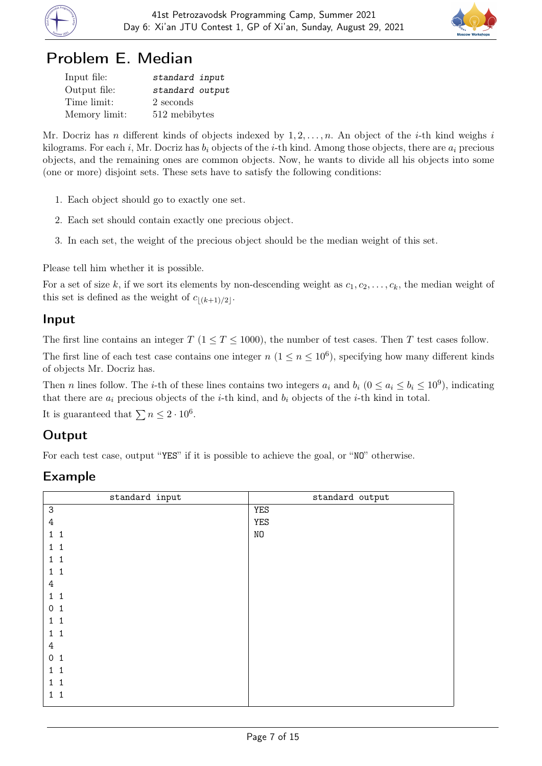



## Problem E. Median

| Input file:   | standard input  |
|---------------|-----------------|
| Output file:  | standard output |
| Time limit:   | 2 seconds       |
| Memory limit: | 512 mebibytes   |

Mr. Docriz has n different kinds of objects indexed by  $1, 2, \ldots, n$ . An object of the *i*-th kind weighs i kilograms. For each i, Mr. Docriz has  $b_i$  objects of the i-th kind. Among those objects, there are  $a_i$  precious objects, and the remaining ones are common objects. Now, he wants to divide all his objects into some (one or more) disjoint sets. These sets have to satisfy the following conditions:

- 1. Each object should go to exactly one set.
- 2. Each set should contain exactly one precious object.
- 3. In each set, the weight of the precious object should be the median weight of this set.

Please tell him whether it is possible.

For a set of size k, if we sort its elements by non-descending weight as  $c_1, c_2, \ldots, c_k$ , the median weight of this set is defined as the weight of  $c_{|(k+1)/2|}$ .

#### Input

The first line contains an integer  $T$  ( $1 \le T \le 1000$ ), the number of test cases. Then T test cases follow.

The first line of each test case contains one integer  $n (1 \le n \le 10^6)$ , specifying how many different kinds of objects Mr. Docriz has.

Then n lines follow. The *i*-th of these lines contains two integers  $a_i$  and  $b_i$   $(0 \le a_i \le b_i \le 10^9)$ , indicating that there are  $a_i$  precious objects of the *i*-th kind, and  $b_i$  objects of the *i*-th kind in total.

It is guaranteed that  $\sum n \leq 2 \cdot 10^6$ .

### **Output**

For each test case, output "YES" if it is possible to achieve the goal, or "NO" otherwise.

| standard input               | standard output |
|------------------------------|-----------------|
| $\ensuremath{\mathsf{3}}$    | YES             |
| 4                            | <b>YES</b>      |
| $\mathbf{1}$<br>$\mathbf{1}$ | N <sub>O</sub>  |
| 1                            |                 |
| 1.                           |                 |
| 1<br>1                       |                 |
| 4                            |                 |
| $\mathbf{1}$<br>1            |                 |
| 0                            |                 |
| 1.                           |                 |
| 1<br>1                       |                 |
| 4                            |                 |
| $\mathsf{O}$<br>1            |                 |
| 1.                           |                 |
| 1.<br>1                      |                 |
| $\mathbf{1}$<br>1            |                 |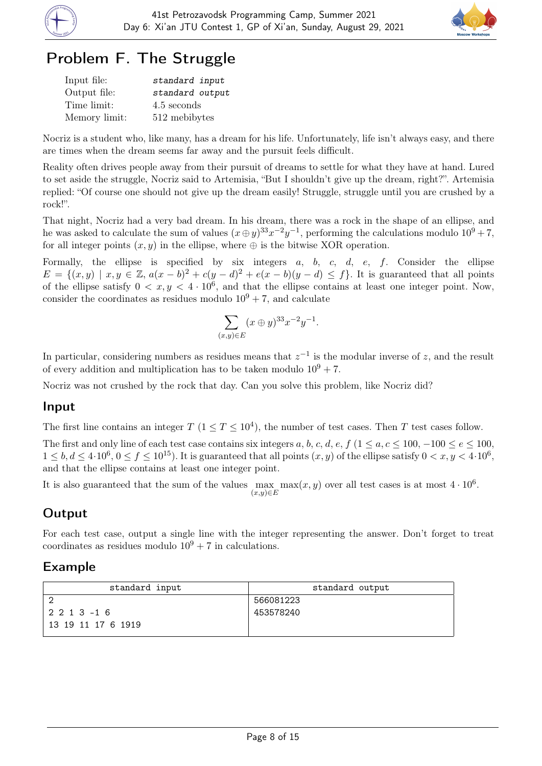



# Problem F. The Struggle

| Input file:   | standard input  |
|---------------|-----------------|
| Output file:  | standard output |
| Time limit:   | 4.5 seconds     |
| Memory limit: | 512 mebibytes   |

Nocriz is a student who, like many, has a dream for his life. Unfortunately, life isn't always easy, and there are times when the dream seems far away and the pursuit feels difficult.

Reality often drives people away from their pursuit of dreams to settle for what they have at hand. Lured to set aside the struggle, Nocriz said to Artemisia, "But I shouldn't give up the dream, right?". Artemisia replied: "Of course one should not give up the dream easily! Struggle, struggle until you are crushed by a rock!".

That night, Nocriz had a very bad dream. In his dream, there was a rock in the shape of an ellipse, and he was asked to calculate the sum of values  $(x \oplus y)^{33}x^{-2}y^{-1}$ , performing the calculations modulo  $10^9 + 7$ , for all integer points  $(x, y)$  in the ellipse, where  $\oplus$  is the bitwise XOR operation.

Formally, the ellipse is specified by six integers  $a, b, c, d, e, f$ . Consider the ellipse  $E = \{(x, y) \mid x, y \in \mathbb{Z}, a(x - b)^2 + c(y - d)^2 + e(x - b)(y - d) \leq f\}.$  It is guaranteed that all points of the ellipse satisfy  $0 < x, y < 4 \cdot 10^6$ , and that the ellipse contains at least one integer point. Now, consider the coordinates as residues modulo  $10^9 + 7$ , and calculate

$$
\sum_{(x,y)\in E} (x \oplus y)^{33} x^{-2} y^{-1}.
$$

In particular, considering numbers as residues means that  $z^{-1}$  is the modular inverse of z, and the result of every addition and multiplication has to be taken modulo  $10^9 + 7$ .

Nocriz was not crushed by the rock that day. Can you solve this problem, like Nocriz did?

#### Input

The first line contains an integer  $T$   $(1 \le T \le 10^4)$ , the number of test cases. Then T test cases follow.

The first and only line of each test case contains six integers a, b, c, d, e, f  $(1 \le a, c \le 100, -100 \le e \le 100,$  $1 \leq b, d \leq 4 \cdot 10^6, 0 \leq f \leq 10^{15}$ ). It is guaranteed that all points  $(x, y)$  of the ellipse satisfy  $0 < x, y < 4 \cdot 10^6$ , and that the ellipse contains at least one integer point.

It is also guaranteed that the sum of the values  $\max_{(x,y)\in E} \max(x,y)$  over all test cases is at most  $4\cdot 10^6$ .

### **Output**

For each test case, output a single line with the integer representing the answer. Don't forget to treat coordinates as residues modulo  $10^9 + 7$  in calculations.

| standard input     | standard output |
|--------------------|-----------------|
|                    | 566081223       |
| $12213 - 16$       | 453578240       |
| 13 19 11 17 6 1919 |                 |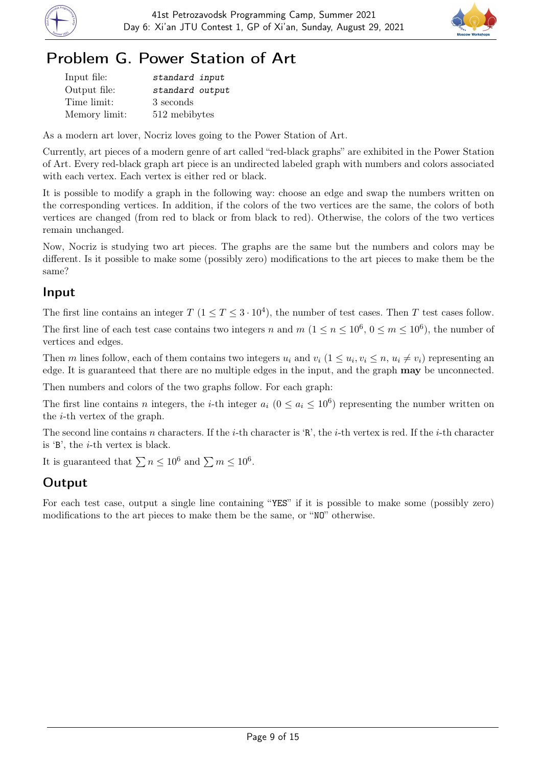



## Problem G. Power Station of Art

| Input file:   | standard input  |
|---------------|-----------------|
| Output file:  | standard output |
| Time limit:   | 3 seconds       |
| Memory limit: | 512 mebibytes   |

As a modern art lover, Nocriz loves going to the Power Station of Art.

Currently, art pieces of a modern genre of art called "red-black graphs" are exhibited in the Power Station of Art. Every red-black graph art piece is an undirected labeled graph with numbers and colors associated with each vertex. Each vertex is either red or black.

It is possible to modify a graph in the following way: choose an edge and swap the numbers written on the corresponding vertices. In addition, if the colors of the two vertices are the same, the colors of both vertices are changed (from red to black or from black to red). Otherwise, the colors of the two vertices remain unchanged.

Now, Nocriz is studying two art pieces. The graphs are the same but the numbers and colors may be different. Is it possible to make some (possibly zero) modifications to the art pieces to make them be the same?

#### Input

The first line contains an integer  $T$   $(1 \le T \le 3 \cdot 10^4)$ , the number of test cases. Then T test cases follow.

The first line of each test case contains two integers n and  $m$   $(1 \le n \le 10^6, 0 \le m \le 10^6)$ , the number of vertices and edges.

Then m lines follow, each of them contains two integers  $u_i$  and  $v_i$   $(1 \le u_i, v_i \le n, u_i \ne v_i)$  representing an edge. It is guaranteed that there are no multiple edges in the input, and the graph may be unconnected.

Then numbers and colors of the two graphs follow. For each graph:

The first line contains n integers, the *i*-th integer  $a_i$  ( $0 \le a_i \le 10^6$ ) representing the number written on the i-th vertex of the graph.

The second line contains n characters. If the *i*-th character is 'R', the *i*-th vertex is red. If the *i*-th character is 'B', the i-th vertex is black.

It is guaranteed that  $\sum n \leq 10^6$  and  $\sum m \leq 10^6$ .

### Output

For each test case, output a single line containing "YES" if it is possible to make some (possibly zero) modifications to the art pieces to make them be the same, or "NO" otherwise.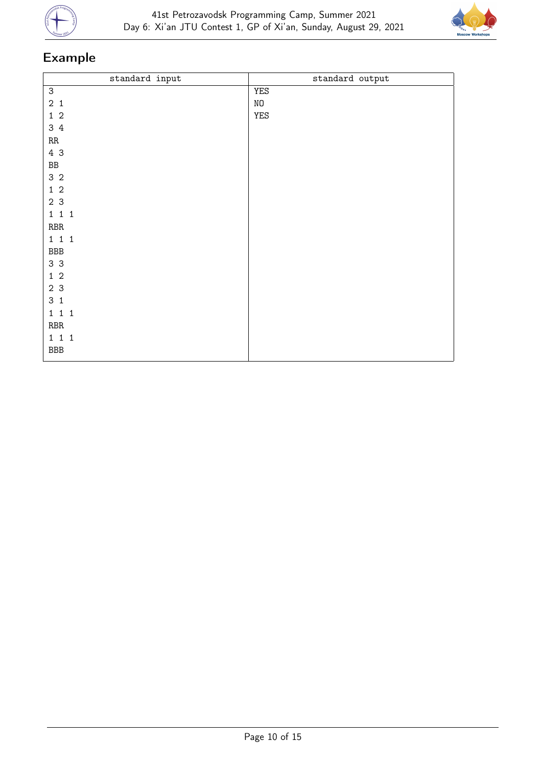



| standard input            | standard output |
|---------------------------|-----------------|
| $\ensuremath{\mathsf{3}}$ | YES             |
| $2\quad1$                 | $\rm NO$        |
| $1\,$ $2\,$               | YES             |
| 34                        |                 |
| $\mathbf{R} \mathbf{R}$   |                 |
| 4 3                       |                 |
| ${\tt BB}$                |                 |
| 3 <sub>2</sub>            |                 |
| $1\quad2$                 |                 |
| 2 <sub>3</sub>            |                 |
| $1\ 1\ 1$                 |                 |
| $\operatorname{RBR}$      |                 |
| $1\quad1\quad1$           |                 |
| $_{\rm BBB}$              |                 |
| 3 <sub>3</sub>            |                 |
| $1\,$ $2\,$               |                 |
| 2 3                       |                 |
| 3 <sub>1</sub>            |                 |
| 1 1 1                     |                 |
| $\operatorname{RBR}$      |                 |
| $1\quad1\quad1$           |                 |
| $_{\rm BBB}$              |                 |
|                           |                 |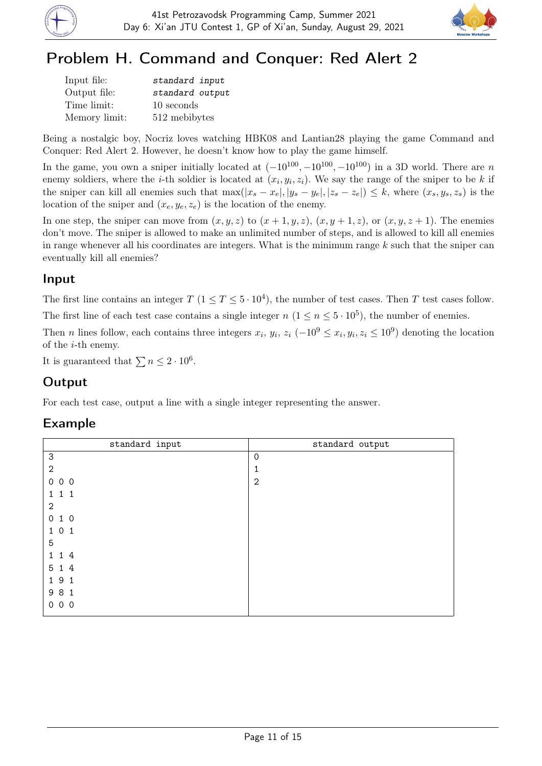



# Problem H. Command and Conquer: Red Alert 2

| Input file:   | standard input  |
|---------------|-----------------|
| Output file:  | standard output |
| Time limit:   | 10 seconds      |
| Memory limit: | 512 mebibytes   |

Being a nostalgic boy, Nocriz loves watching HBK08 and Lantian28 playing the game Command and Conquer: Red Alert 2. However, he doesn't know how to play the game himself.

In the game, you own a sniper initially located at  $(-10^{100}, -10^{100}, -10^{100})$  in a 3D world. There are n enemy soldiers, where the *i*-th soldier is located at  $(x_i, y_i, z_i)$ . We say the range of the sniper to be k if the sniper can kill all enemies such that  $\max(|x_s - x_e|, |y_s - y_e|, |z_s - z_e|) \leq k$ , where  $(x_s, y_s, z_s)$  is the location of the sniper and  $(x_e, y_e, z_e)$  is the location of the enemy.

In one step, the sniper can move from  $(x, y, z)$  to  $(x + 1, y, z)$ ,  $(x, y + 1, z)$ , or  $(x, y, z + 1)$ . The enemies don't move. The sniper is allowed to make an unlimited number of steps, and is allowed to kill all enemies in range whenever all his coordinates are integers. What is the minimum range  $k$  such that the sniper can eventually kill all enemies?

### Input

The first line contains an integer  $T$   $(1 \le T \le 5 \cdot 10^4)$ , the number of test cases. Then T test cases follow.

The first line of each test case contains a single integer  $n (1 \le n \le 5 \cdot 10^5)$ , the number of enemies.

Then *n* lines follow, each contains three integers  $x_i$ ,  $y_i$ ,  $z_i$  (-10<sup>9</sup>  $\leq x_i$ ,  $y_i$ ,  $z_i \leq 10^9$ ) denoting the location of the i-th enemy.

It is guaranteed that  $\sum n \leq 2 \cdot 10^6$ .

### **Output**

For each test case, output a line with a single integer representing the answer.

| standard input            | standard output |
|---------------------------|-----------------|
| $\ensuremath{\mathsf{3}}$ | $\mathbf 0$     |
| $\mathbf{2}$              | 1               |
| 000                       | $\mathbf{2}$    |
| 111                       |                 |
| $\mathbf{2}$              |                 |
| 010                       |                 |
| 101                       |                 |
| 5                         |                 |
| 14<br>$1 \quad$           |                 |
| 5 1 4                     |                 |
| 191                       |                 |
| 9 8 1                     |                 |
| 000                       |                 |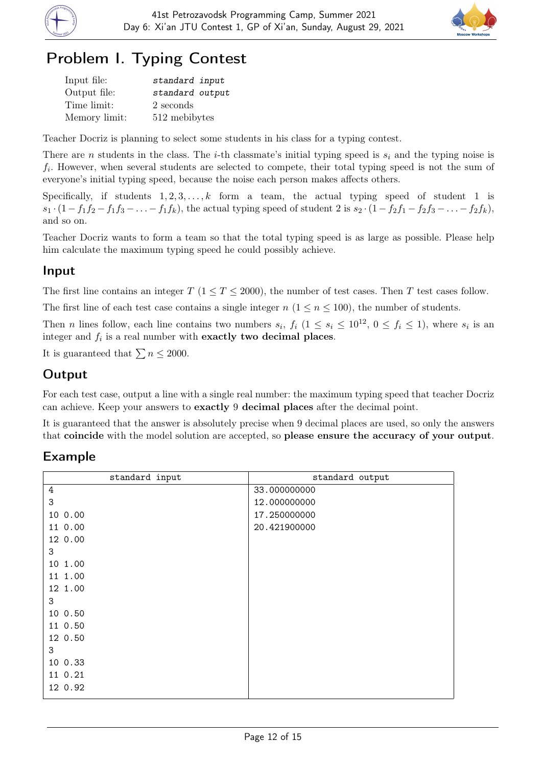



# Problem I. Typing Contest

| Input file:   | standard input  |
|---------------|-----------------|
| Output file:  | standard output |
| Time limit:   | 2 seconds       |
| Memory limit: | 512 mebibytes   |

Teacher Docriz is planning to select some students in his class for a typing contest.

There are n students in the class. The *i*-th classmate's initial typing speed is  $s_i$  and the typing noise is  $f_i$ . However, when several students are selected to compete, their total typing speed is not the sum of everyone's initial typing speed, because the noise each person makes affects others.

Specifically, if students  $1, 2, 3, \ldots, k$  form a team, the actual typing speed of student 1 is  $s_1 \cdot (1 - f_1f_2 - f_1f_3 - \ldots - f_1f_k)$ , the actual typing speed of student 2 is  $s_2 \cdot (1 - f_2f_1 - f_2f_3 - \ldots - f_2f_k)$ , and so on.

Teacher Docriz wants to form a team so that the total typing speed is as large as possible. Please help him calculate the maximum typing speed he could possibly achieve.

#### Input

The first line contains an integer  $T (1 \leq T \leq 2000)$ , the number of test cases. Then T test cases follow.

The first line of each test case contains a single integer  $n (1 \le n \le 100)$ , the number of students.

Then *n* lines follow, each line contains two numbers  $s_i$ ,  $f_i$   $(1 \leq s_i \leq 10^{12}, 0 \leq f_i \leq 1)$ , where  $s_i$  is an integer and  $f_i$  is a real number with exactly two decimal places.

It is guaranteed that  $\sum n \leq 2000$ .

### **Output**

For each test case, output a line with a single real number: the maximum typing speed that teacher Docriz can achieve. Keep your answers to exactly 9 decimal places after the decimal point.

It is guaranteed that the answer is absolutely precise when 9 decimal places are used, so only the answers that coincide with the model solution are accepted, so please ensure the accuracy of your output.

| standard input | standard output |
|----------------|-----------------|
| 4              | 33.000000000    |
| 3              | 12.000000000    |
| 10 0.00        | 17.250000000    |
| 11 0.00        | 20.421900000    |
| 12 0.00        |                 |
| 3              |                 |
| 10 1.00        |                 |
| 11 1.00        |                 |
| 12 1.00        |                 |
| 3              |                 |
| 10 0.50        |                 |
| 11 0.50        |                 |
| 12 0.50        |                 |
| 3              |                 |
| 10 0.33        |                 |
| 11 0.21        |                 |
| 12 0.92        |                 |
|                |                 |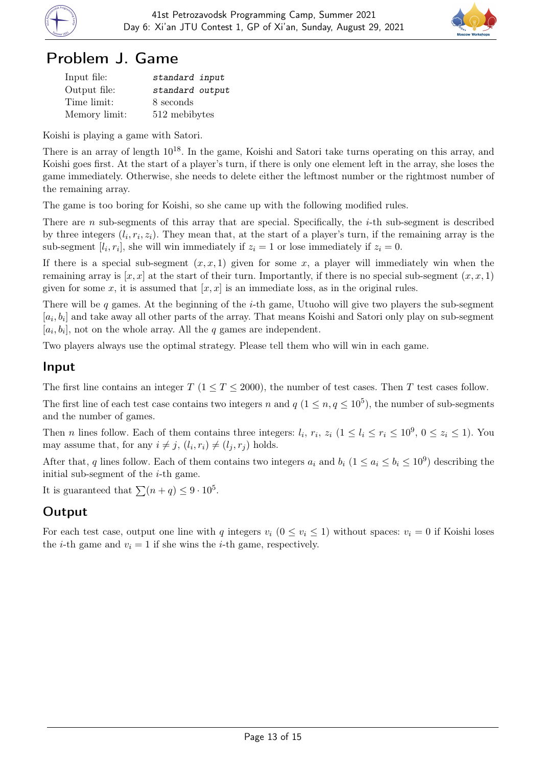



### Problem J. Game

| Input file:   | standard input  |
|---------------|-----------------|
| Output file:  | standard output |
| Time limit:   | 8 seconds       |
| Memory limit: | 512 mebibytes   |

Koishi is playing a game with Satori.

There is an array of length  $10^{18}$ . In the game, Koishi and Satori take turns operating on this array, and Koishi goes first. At the start of a player's turn, if there is only one element left in the array, she loses the game immediately. Otherwise, she needs to delete either the leftmost number or the rightmost number of the remaining array.

The game is too boring for Koishi, so she came up with the following modified rules.

There are n sub-segments of this array that are special. Specifically, the  $i$ -th sub-segment is described by three integers  $(l_i, r_i, z_i)$ . They mean that, at the start of a player's turn, if the remaining array is the sub-segment [ $l_i, r_i$ ], she will win immediately if  $z_i = 1$  or lose immediately if  $z_i = 0$ .

If there is a special sub-segment  $(x, x, 1)$  given for some x, a player will immediately win when the remaining array is  $[x, x]$  at the start of their turn. Importantly, if there is no special sub-segment  $(x, x, 1)$ given for some x, it is assumed that  $[x, x]$  is an immediate loss, as in the original rules.

There will be q games. At the beginning of the *i*-th game, Utuoho will give two players the sub-segment  $[a_i, b_i]$  and take away all other parts of the array. That means Koishi and Satori only play on sub-segment  $[a_i, b_i]$ , not on the whole array. All the q games are independent.

Two players always use the optimal strategy. Please tell them who will win in each game.

### Input

The first line contains an integer  $T$  ( $1 \le T \le 2000$ ), the number of test cases. Then T test cases follow.

The first line of each test case contains two integers n and  $q$   $(1 \leq n, q \leq 10^5)$ , the number of sub-segments and the number of games.

Then *n* lines follow. Each of them contains three integers:  $l_i$ ,  $r_i$ ,  $z_i$   $(1 \leq l_i \leq r_i \leq 10^9, 0 \leq z_i \leq 1)$ . You may assume that, for any  $i \neq j$ ,  $(l_i, r_i) \neq (l_j, r_j)$  holds.

After that, q lines follow. Each of them contains two integers  $a_i$  and  $b_i$   $(1 \le a_i \le b_i \le 10^9)$  describing the initial sub-segment of the  $i$ -th game.

It is guaranteed that  $\sum (n + q) \leq 9 \cdot 10^5$ .

### **Output**

For each test case, output one line with q integers  $v_i$   $(0 \le v_i \le 1)$  without spaces:  $v_i = 0$  if Koishi loses the *i*-th game and  $v_i = 1$  if she wins the *i*-th game, respectively.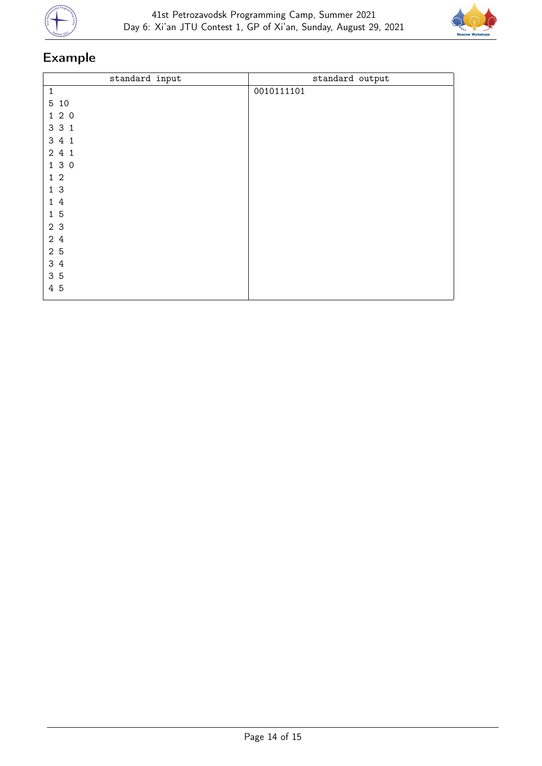



| standard input | standard output |
|----------------|-----------------|
| $\mathbf{1}$   | 0010111101      |
| 5 10           |                 |
| 120            |                 |
| 3 3 1          |                 |
| 3 4 1          |                 |
| 2 4 1          |                 |
| 1 3 0          |                 |
| $1\quad2$      |                 |
| 13             |                 |
| 14             |                 |
| 15             |                 |
| 2 3            |                 |
| 2 4            |                 |
| $2\,$ 5        |                 |
| 3 4            |                 |
| 3 5            |                 |
| 4 5            |                 |
|                |                 |